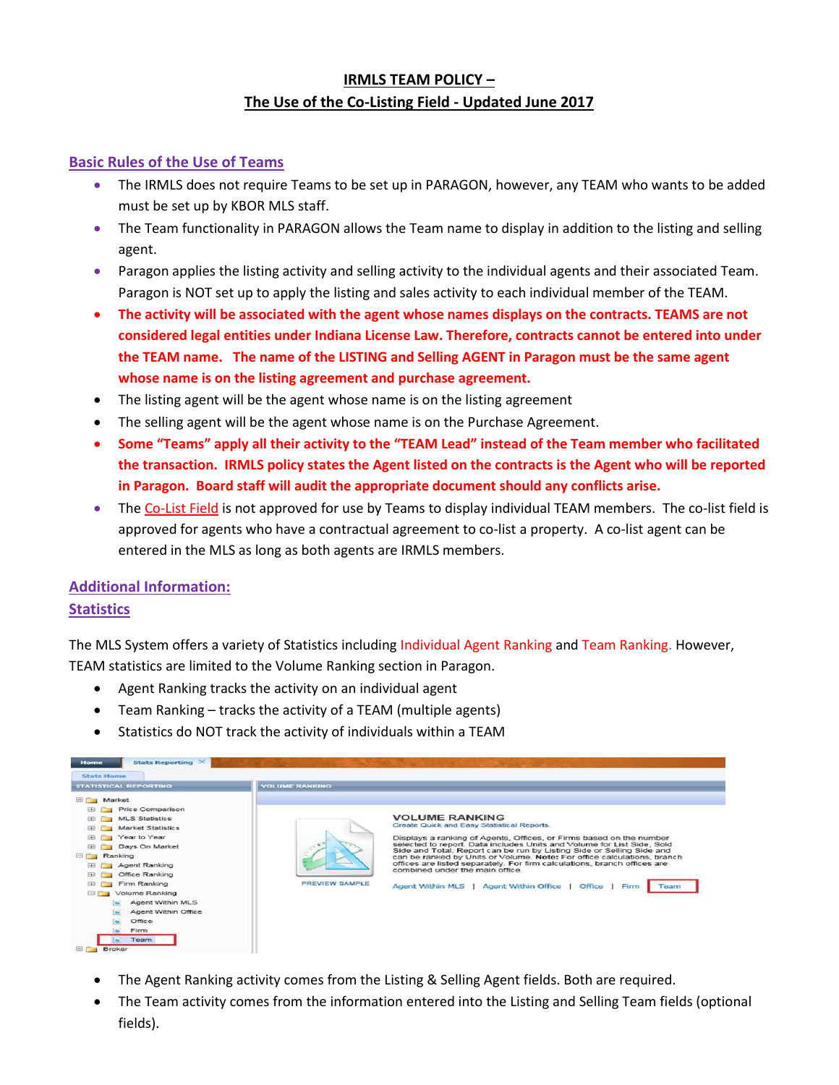## **IRMLS TEAM POLICY – The Use of the Co-Listing Field - Updated June 2017**

### **Basic Rules of the Use of Teams**

- The IRMLS does not require Teams to be set up in PARAGON, however, any TEAM who wants to be added must be set up by KBOR MLS staff.
- The Team functionality in PARAGON allows the Team name to display in addition to the listing and selling agent.
- Paragon applies the listing activity and selling activity to the individual agents and their associated Team. Paragon is NOT set up to apply the listing and sales activity to each individual member of the TEAM.
- **The activity will be associated with the agent whose names displays on the contracts. TEAMS are not considered legal entities under Indiana License Law. Therefore, contracts cannot be entered into under the TEAM name. The name of the LISTING and Selling AGENT in Paragon must be the same agent whose name is on the listing agreement and purchase agreement.**
- The listing agent will be the agent whose name is on the listing agreement
- The selling agent will be the agent whose name is on the Purchase Agreement.
- **Some "Teams" apply all their activity to the "TEAM Lead" instead of the Team member who facilitated the transaction. IRMLS policy states the Agent listed on the contracts is the Agent who will be reported in Paragon. Board staff will audit the appropriate document should any conflicts arise.**
- The Co-List Field is not approved for use by Teams to display individual TEAM members. The co-list field is approved for agents who have a contractual agreement to co-list a property. A co-list agent can be entered in the MLS as long as both agents are IRMLS members.

# **Additional Information:**

### **Statistics**

The MLS System offers a variety of Statistics including Individual Agent Ranking and Team Ranking. However, TEAM statistics are limited to the Volume Ranking section in Paragon.

- Agent Ranking tracks the activity on an individual agent
- Team Ranking tracks the activity of a TEAM (multiple agents)
- Statistics do NOT track the activity of individuals within a TEAM



- The Agent Ranking activity comes from the Listing & Selling Agent fields. Both are required.
- The Team activity comes from the information entered into the Listing and Selling Team fields (optional fields).